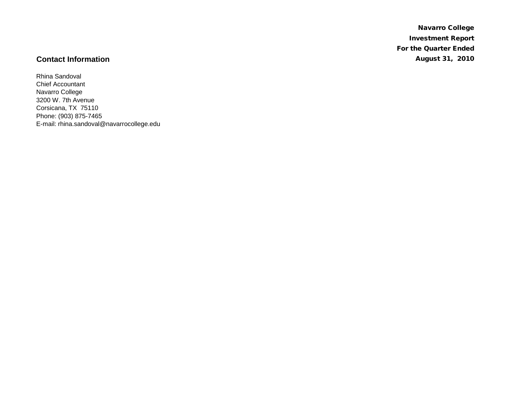Navarro College Investment Report For the Quarter Ended **Contact Information** August 31, 2010

Rhina Sandoval Chief Accountant Navarro College 3200 W. 7th Avenue Corsicana, TX 75110 Phone: (903) 875-7465 E-mail: rhina.sandoval@navarrocollege.edu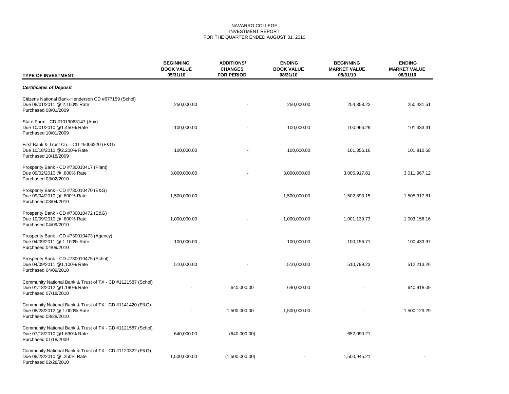# NAVARRO COLLEGE INVESTMENT REPORT FOR THE QUARTER ENDED AUGUST 31, 2010

| <b>TYPE OF INVESTMENT</b>                                                                                          | <b>BEGINNING</b><br><b>BOOK VALUE</b><br>05/31/10 | <b>ADDITIONS/</b><br><b>CHANGES</b><br><b>FOR PERIOD</b> | <b>ENDING</b><br><b>BOOK VALUE</b><br>08/31/10 | <b>BEGINNING</b><br><b>MARKET VALUE</b><br>05/31/10 | <b>ENDING</b><br><b>MARKET VALUE</b><br>08/31/10 |
|--------------------------------------------------------------------------------------------------------------------|---------------------------------------------------|----------------------------------------------------------|------------------------------------------------|-----------------------------------------------------|--------------------------------------------------|
| <b>Certificates of Deposit</b>                                                                                     |                                                   |                                                          |                                                |                                                     |                                                  |
| Citizens National Bank-Henderson CD #677159 (Schol)<br>Due 08/01/2011 @ 2.100% Rate<br>Purchased 08/01/2009        | 250,000.00                                        |                                                          | 250,000.00                                     | 254,358.22                                          | 250,431.51                                       |
| State Farm - CD #1019063147 (Aux)<br>Due 10/01/2010 @1.450% Rate<br>Purchased 10/01/2009                           | 100,000.00                                        |                                                          | 100,000.00                                     | 100,966.29                                          | 101,333.41                                       |
| First Bank & Trust Co. - CD #5006220 (E&G)<br>Due 10/18/2010 @2.200% Rate<br>Purchased 10/18/2009                  | 100,000.00                                        |                                                          | 100,000.00                                     | 101,356.16                                          | 101,910.68                                       |
| Prosperity Bank - CD #730010417 (Plant)<br>Due 09/02/2010 @ .800% Rate<br>Purchased 03/02/2010                     | 3,000,000.00                                      |                                                          | 3,000,000.00                                   | 3,005,917.81                                        | 3,011,967.12                                     |
| Prosperity Bank - CD #730010470 (E&G)<br>Due 09/04/2010 @ .800% Rate<br>Purchased 03/04/2010                       | 1,500,000.00                                      |                                                          | 1,500,000.00                                   | 1,502,893.15                                        | 1,505,917.81                                     |
| Prosperity Bank - CD #730010472 (E&G)<br>Due 10/09/2010 @ .800% Rate<br>Purchased 04/09/2010                       | 1,000,000.00                                      |                                                          | 1,000,000.00                                   | 1,001,139.73                                        | 1,003,156.16                                     |
| Prosperity Bank - CD #730010473 (Agency)<br>Due 04/09/2011 @ 1.100% Rate<br>Purchased 04/09/2010                   | 100,000.00                                        |                                                          | 100,000.00                                     | 100,156.71                                          | 100,433.97                                       |
| Prosperity Bank - CD #730010475 (Schol)<br>Due 04/09/2011 @1.100% Rate<br>Purchased 04/09/2010                     | 510,000.00                                        |                                                          | 510,000.00                                     | 510,799.23                                          | 512,213.26                                       |
| Community National Bank & Trust of TX - CD #1121587 (Schol)<br>Due 01/18/2012 @1.190% Rate<br>Purchased 07/18/2010 |                                                   | 640,000.00                                               | 640,000.00                                     |                                                     | 640,918.09                                       |
| Community National Bank & Trust of TX - CD #1141420 (E&G)<br>Due 08/28/2012 @ 1.000% Rate<br>Purchased 08/28/2010  |                                                   | 1,500,000.00                                             | 1,500,000.00                                   |                                                     | 1,500,123.29                                     |
| Community National Bank & Trust of TX - CD #1121587 (Schol)<br>Due 07/18/2010 @1.690% Rate<br>Purchased 01/18/2009 | 640,000.00                                        | (640,000.00)                                             |                                                | 652,090.21                                          |                                                  |
| Community National Bank & Trust of TX - CD #1120322 (E&G)<br>Due 08/28/2010 @ .250% Rate<br>Purchased 02/28/2010   | 1,500,000.00                                      | (1,500,000.00)                                           |                                                | 1,500,945.21                                        |                                                  |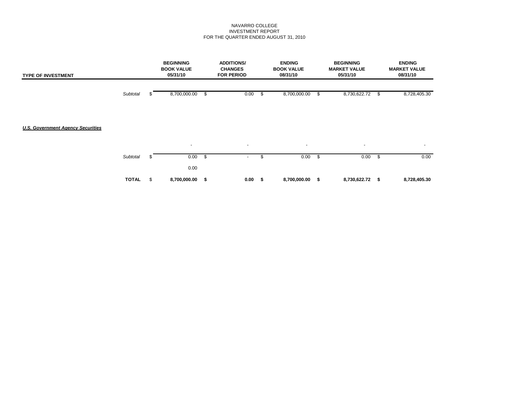## NAVARRO COLLEGE INVESTMENT REPORT FOR THE QUARTER ENDED AUGUST 31, 2010

| <b>TYPE OF INVESTMENT</b>                |              | <b>BEGINNING</b><br><b>BOOK VALUE</b><br>05/31/10 |      | <b>ADDITIONS/</b><br><b>CHANGES</b><br><b>FOR PERIOD</b> | <b>ENDING</b><br><b>BOOK VALUE</b><br>08/31/10 |      | <b>BEGINNING</b><br><b>MARKET VALUE</b><br>05/31/10 |      | <b>ENDING</b><br><b>MARKET VALUE</b><br>08/31/10 |
|------------------------------------------|--------------|---------------------------------------------------|------|----------------------------------------------------------|------------------------------------------------|------|-----------------------------------------------------|------|--------------------------------------------------|
|                                          | Subtotal     | 8,700,000.00                                      | \$   | 0.00                                                     | \$<br>8,700,000.00                             | -\$  | 8,730,622.72                                        | - \$ | 8,728,405.30                                     |
|                                          |              |                                                   |      |                                                          |                                                |      |                                                     |      |                                                  |
| <b>U.S. Government Agency Securities</b> |              |                                                   |      |                                                          |                                                |      |                                                     |      |                                                  |
|                                          |              | $\overline{\phantom{a}}$                          |      | $\sim$                                                   | $\blacksquare$                                 |      | $\overline{\phantom{a}}$                            |      | $\overline{\phantom{a}}$                         |
|                                          | Subtotal     | 0.00                                              | - 56 | ٠                                                        | \$<br>0.00                                     | - \$ | 0.00                                                | -\$  | 0.00                                             |
|                                          |              | 0.00                                              |      |                                                          |                                                |      |                                                     |      |                                                  |
|                                          | <b>TOTAL</b> | \$<br>8,700,000.00                                | \$   | 0.00                                                     | \$<br>8,700,000.00 \$                          |      | 8,730,622.72 \$                                     |      | 8,728,405.30                                     |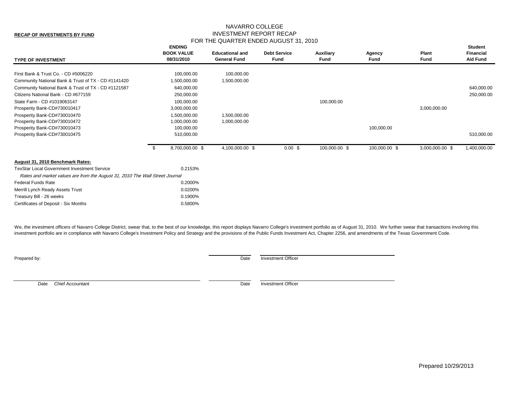# NAVARRO COLLEGE INVESTMENT REPORT RECAP FOR THE QUARTER ENDED AUGUST 31, 2010

| <b>TYPE OF INVESTMENT</b>                                                    |     | <b>ENDING</b><br><b>BOOK VALUE</b><br>08/31/2010 | <b>Educational and</b><br><b>General Fund</b> | <b>Debt Service</b><br>Fund | Auxiliary<br>Fund | Agency<br>Fund | Plant<br><b>Fund</b> | <b>Student</b><br><b>Financial</b><br><b>Aid Fund</b> |
|------------------------------------------------------------------------------|-----|--------------------------------------------------|-----------------------------------------------|-----------------------------|-------------------|----------------|----------------------|-------------------------------------------------------|
| First Bank & Trust Co. - CD #5006220                                         |     | 100,000.00                                       | 100,000.00                                    |                             |                   |                |                      |                                                       |
| Community National Bank & Trust of TX - CD #1141420                          |     | 1,500,000.00                                     | 1,500,000.00                                  |                             |                   |                |                      |                                                       |
| Community National Bank & Trust of TX - CD #1121587                          |     | 640,000.00                                       |                                               |                             |                   |                |                      | 640,000.00                                            |
| Citizens National Bank - CD #677159                                          |     | 250,000.00                                       |                                               |                             |                   |                |                      | 250,000.00                                            |
| State Farm - CD #1019063147                                                  |     | 100,000.00                                       |                                               |                             | 100,000.00        |                |                      |                                                       |
| Prosperity Bank-CD#730010417                                                 |     | 3,000,000.00                                     |                                               |                             |                   |                | 3,000,000.00         |                                                       |
| Prosperity Bank-CD#730010470                                                 |     | 1,500,000.00                                     | 1,500,000.00                                  |                             |                   |                |                      |                                                       |
| Prosperity Bank-CD#730010472                                                 |     | 1,000,000.00                                     | 1,000,000.00                                  |                             |                   |                |                      |                                                       |
| Prosperity Bank-CD#730010473                                                 |     | 100,000.00                                       |                                               |                             |                   | 100,000.00     |                      |                                                       |
| Prosperity Bank-CD#730010475                                                 |     | 510,000.00                                       |                                               |                             |                   |                |                      | 510,000.00                                            |
|                                                                              | -\$ | 8,700,000.00 \$                                  | 4,100,000.00 \$                               | $0.00$ \$                   | 100,000.00 \$     | 100,000.00 \$  | 3,000,000.00 \$      | 1,400,000.00                                          |
| August 31, 2010 Benchmark Rates:                                             |     |                                                  |                                               |                             |                   |                |                      |                                                       |
| <b>TexStar Local Government Investment Service</b>                           |     | 0.2153%                                          |                                               |                             |                   |                |                      |                                                       |
| Rates and market values are from the August 31, 2010 The Wall Street Journal |     |                                                  |                                               |                             |                   |                |                      |                                                       |
| <b>Federal Funds Rate</b>                                                    |     | 0.2000%                                          |                                               |                             |                   |                |                      |                                                       |
| Merrill Lynch Ready Assets Trust                                             |     | 0.0200%                                          |                                               |                             |                   |                |                      |                                                       |
| Treasury Bill - 26 weeks                                                     |     | 0.1900%                                          |                                               |                             |                   |                |                      |                                                       |
| Certificates of Deposit - Six Months                                         |     | 0.5800%                                          |                                               |                             |                   |                |                      |                                                       |

We, the investment officers of Navarro College District, swear that, to the best of our knowledge, this report displays Navarro College's investment portfolio as of August 31, 2010. We further swear that transactions invol investment portfolio are in compliance with Navarro College's Investment Policy and Strategy and the provisions of the Public Funds Investment Act, Chapter 2256, and amendments of the Texas Government Code.

**Prepared by:** Date Investment Officer

Date Chief Accountant Date investment Officer

**RECAP OF INVESTMENTS BY FUND**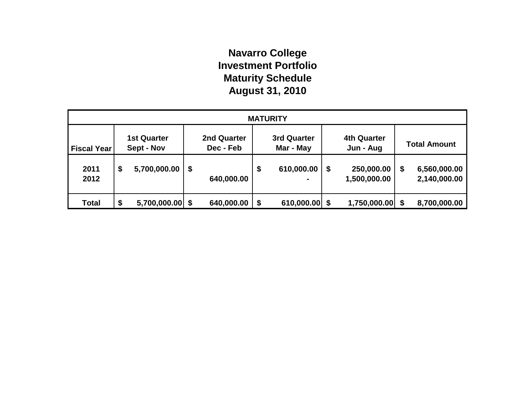# **Navarro College Investment Portfolio Maturity Schedule August 31, 2010**

| <b>MATURITY</b>    |                                  |                   |                                 |            |                          |            |   |                                 |   |                              |  |
|--------------------|----------------------------------|-------------------|---------------------------------|------------|--------------------------|------------|---|---------------------------------|---|------------------------------|--|
| <b>Fiscal Year</b> | <b>1st Quarter</b><br>Sept - Nov |                   | <b>2nd Quarter</b><br>Dec - Feb |            | 3rd Quarter<br>Mar - May |            |   | <b>4th Quarter</b><br>Jun - Aug |   | <b>Total Amount</b>          |  |
| 2011<br>2012       | \$                               | 5,700,000.00      | \$                              | 640,000.00 | \$                       | 610,000.00 | S | 250,000.00<br>1,500,000.00      | S | 6,560,000.00<br>2,140,000.00 |  |
| <b>Total</b>       | \$                               | $5,700,000.00$ \$ |                                 | 640,000.00 | \$                       | 610,000.00 |   | $1,750,000.00$ \$               |   | 8,700,000.00                 |  |